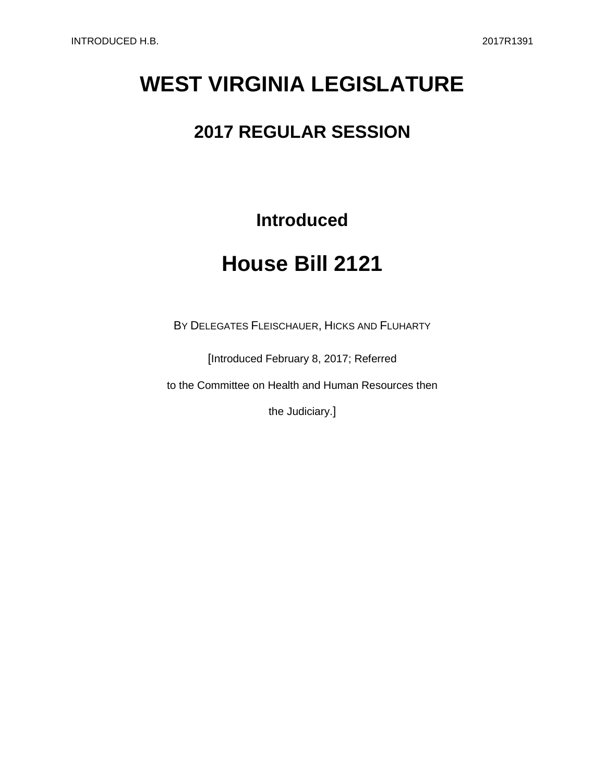# **WEST VIRGINIA LEGISLATURE**

### **2017 REGULAR SESSION**

### **Introduced**

## **House Bill 2121**

BY DELEGATES FLEISCHAUER, HICKS AND FLUHARTY

[Introduced February 8, 2017; Referred

to the Committee on Health and Human Resources then

the Judiciary.]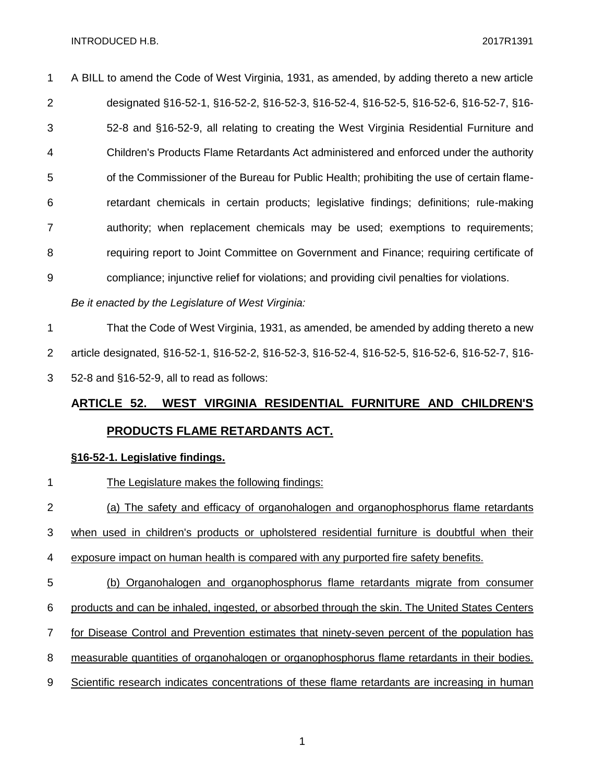A BILL to amend the Code of West Virginia, 1931, as amended, by adding thereto a new article designated §16-52-1, §16-52-2, §16-52-3, §16-52-4, §16-52-5, §16-52-6, §16-52-7, §16- 52-8 and §16-52-9, all relating to creating the West Virginia Residential Furniture and Children's Products Flame Retardants Act administered and enforced under the authority 5 of the Commissioner of the Bureau for Public Health; prohibiting the use of certain flame- retardant chemicals in certain products; legislative findings; definitions; rule-making authority; when replacement chemicals may be used; exemptions to requirements; requiring report to Joint Committee on Government and Finance; requiring certificate of compliance; injunctive relief for violations; and providing civil penalties for violations.

*Be it enacted by the Legislature of West Virginia:*

 That the Code of West Virginia, 1931, as amended, be amended by adding thereto a new article designated, §16-52-1, §16-52-2, §16-52-3, §16-52-4, §16-52-5, §16-52-6, §16-52-7, §16-

52-8 and §16-52-9, all to read as follows:

## **ARTICLE 52. WEST VIRGINIA RESIDENTIAL FURNITURE AND CHILDREN'S PRODUCTS FLAME RETARDANTS ACT.**

#### **§16-52-1. Legislative findings.**

1 The Legislature makes the following findings: (a) The safety and efficacy of organohalogen and organophosphorus flame retardants when used in children's products or upholstered residential furniture is doubtful when their exposure impact on human health is compared with any purported fire safety benefits. (b) Organohalogen and organophosphorus flame retardants migrate from consumer products and can be inhaled, ingested, or absorbed through the skin. The United States Centers for Disease Control and Prevention estimates that ninety-seven percent of the population has 8 measurable quantities of organohalogen or organophosphorus flame retardants in their bodies. Scientific research indicates concentrations of these flame retardants are increasing in human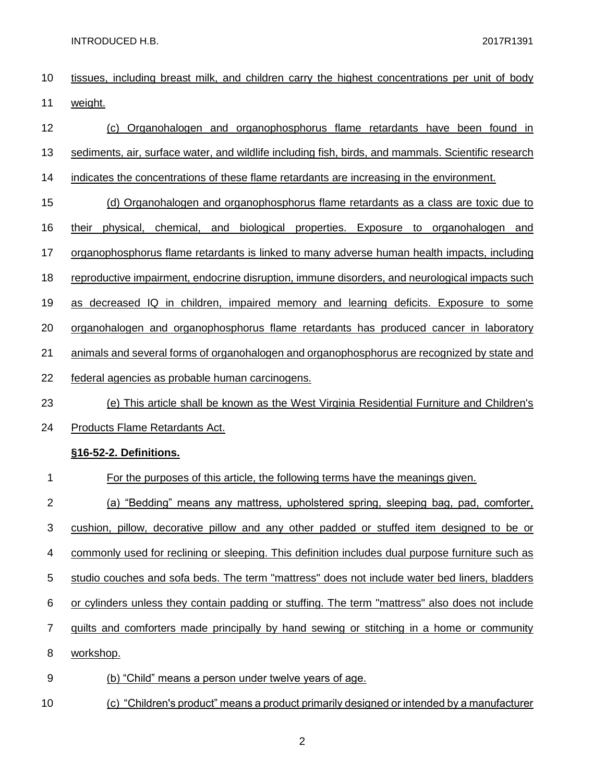- tissues, including breast milk, and children carry the highest concentrations per unit of body weight.
- (c) Organohalogen and organophosphorus flame retardants have been found in sediments, air, surface water, and wildlife including fish, birds, and mammals. Scientific research indicates the concentrations of these flame retardants are increasing in the environment. (d) Organohalogen and organophosphorus flame retardants as a class are toxic due to their physical, chemical, and biological properties. Exposure to organohalogen and organophosphorus flame retardants is linked to many adverse human health impacts, including reproductive impairment, endocrine disruption, immune disorders, and neurological impacts such as decreased IQ in children, impaired memory and learning deficits. Exposure to some organohalogen and organophosphorus flame retardants has produced cancer in laboratory 21 animals and several forms of organohalogen and organophosphorus are recognized by state and federal agencies as probable human carcinogens. (e) This article shall be known as the West Virginia Residential Furniture and Children's Products Flame Retardants Act. **§16-52-2. Definitions.** For the purposes of this article, the following terms have the meanings given. (a) "Bedding" means any mattress, upholstered spring, sleeping bag, pad, comforter, cushion, pillow, decorative pillow and any other padded or stuffed item designed to be or commonly used for reclining or sleeping. This definition includes dual purpose furniture such as studio couches and sofa beds. The term "mattress" does not include water bed liners, bladders or cylinders unless they contain padding or stuffing. The term "mattress" also does not include
	-
	- quilts and comforters made principally by hand sewing or stitching in a home or community
	- workshop.
	- (b) "Child" means a person under twelve years of age.
- (c) "Children's product" means a product primarily designed or intended by a manufacturer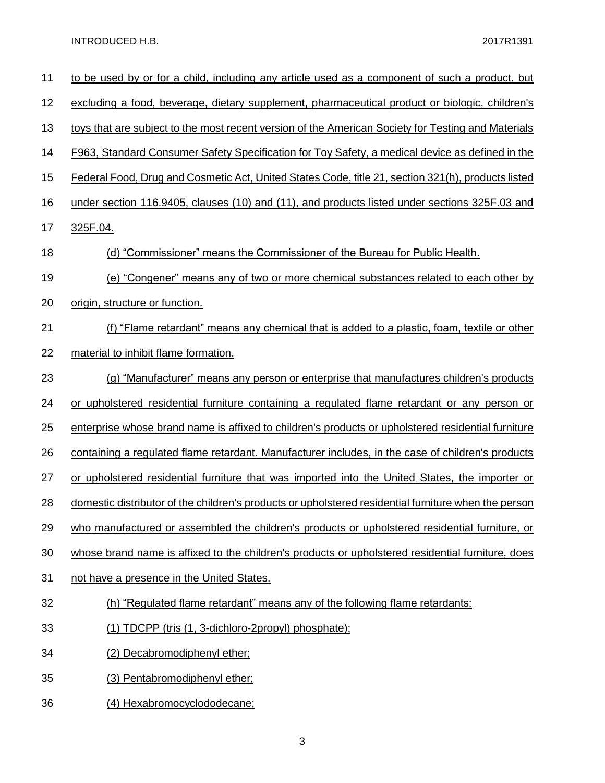| 11 | to be used by or for a child, including any article used as a component of such a product, but       |
|----|------------------------------------------------------------------------------------------------------|
| 12 | excluding a food, beverage, dietary supplement, pharmaceutical product or biologic, children's       |
| 13 | toys that are subject to the most recent version of the American Society for Testing and Materials   |
| 14 | F963, Standard Consumer Safety Specification for Toy Safety, a medical device as defined in the      |
| 15 | Federal Food, Drug and Cosmetic Act, United States Code, title 21, section 321(h), products listed   |
| 16 | under section 116.9405, clauses (10) and (11), and products listed under sections 325F.03 and        |
| 17 | 325F.04.                                                                                             |
| 18 | (d) "Commissioner" means the Commissioner of the Bureau for Public Health.                           |
| 19 | (e) "Congener" means any of two or more chemical substances related to each other by                 |
| 20 | origin, structure or function.                                                                       |
| 21 | <u>(f) "Flame retardant" means any chemical that is added to a plastic, foam, textile or other</u>   |
| 22 | material to inhibit flame formation.                                                                 |
| 23 | (g) "Manufacturer" means any person or enterprise that manufactures children's products              |
| 24 | or upholstered residential furniture containing a regulated flame retardant or any person or         |
| 25 | enterprise whose brand name is affixed to children's products or upholstered residential furniture   |
| 26 | containing a regulated flame retardant. Manufacturer includes, in the case of children's products    |
| 27 | or upholstered residential furniture that was imported into the United States, the importer or       |
| 28 | domestic distributor of the children's products or upholstered residential furniture when the person |
| 29 | who manufactured or assembled the children's products or upholstered residential furniture, or       |
| 30 | whose brand name is affixed to the children's products or upholstered residential furniture, does    |
| 31 | not have a presence in the United States.                                                            |
| 32 | (h) "Regulated flame retardant" means any of the following flame retardants:                         |
| 33 | (1) TDCPP (tris (1, 3-dichloro-2propyl) phosphate);                                                  |
| 34 | (2) Decabromodiphenyl ether;                                                                         |
| 35 | (3) Pentabromodiphenyl ether;                                                                        |
| 36 | (4) Hexabromocyclododecane;                                                                          |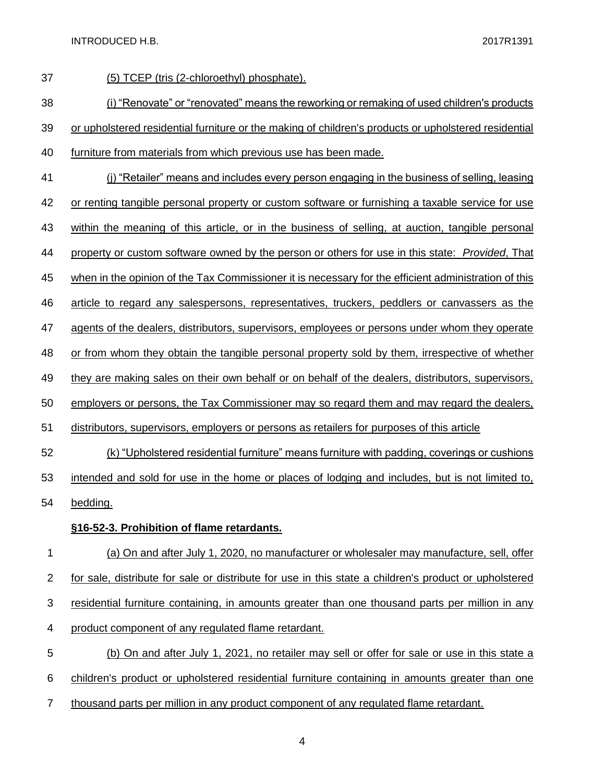| 37          | (5) TCEP (tris (2-chloroethyl) phosphate).                                                            |
|-------------|-------------------------------------------------------------------------------------------------------|
| 38          | (i) "Renovate" or "renovated" means the reworking or remaking of used children's products             |
| 39          | or upholstered residential furniture or the making of children's products or upholstered residential  |
| 40          | furniture from materials from which previous use has been made.                                       |
| 41          | (i) "Retailer" means and includes every person engaging in the business of selling, leasing           |
| 42          | or renting tangible personal property or custom software or furnishing a taxable service for use      |
| 43          | within the meaning of this article, or in the business of selling, at auction, tangible personal      |
| 44          | property or custom software owned by the person or others for use in this state: Provided, That       |
| 45          | when in the opinion of the Tax Commissioner it is necessary for the efficient administration of this  |
| 46          | article to regard any salespersons, representatives, truckers, peddlers or canvassers as the          |
| 47          | agents of the dealers, distributors, supervisors, employees or persons under whom they operate        |
| 48          | or from whom they obtain the tangible personal property sold by them, irrespective of whether         |
| 49          | they are making sales on their own behalf or on behalf of the dealers, distributors, supervisors,     |
| 50          | employers or persons, the Tax Commissioner may so regard them and may regard the dealers,             |
| 51          | distributors, supervisors, employers or persons as retailers for purposes of this article             |
| 52          | (k) "Upholstered residential furniture" means furniture with padding, coverings or cushions           |
| 53          | intended and sold for use in the home or places of lodging and includes, but is not limited to,       |
| 54          | bedding.                                                                                              |
|             | §16-52-3. Prohibition of flame retardants.                                                            |
| 1           | (a) On and after July 1, 2020, no manufacturer or wholesaler may manufacture, sell, offer             |
| $\mathbf 2$ | for sale, distribute for sale or distribute for use in this state a children's product or upholstered |
| 3           | residential furniture containing, in amounts greater than one thousand parts per million in any       |
| 4           | product component of any regulated flame retardant.                                                   |
| 5           | (b) On and after July 1, 2021, no retailer may sell or offer for sale or use in this state a          |
| 6           | children's product or upholstered residential furniture containing in amounts greater than one        |

7 thousand parts per million in any product component of any regulated flame retardant.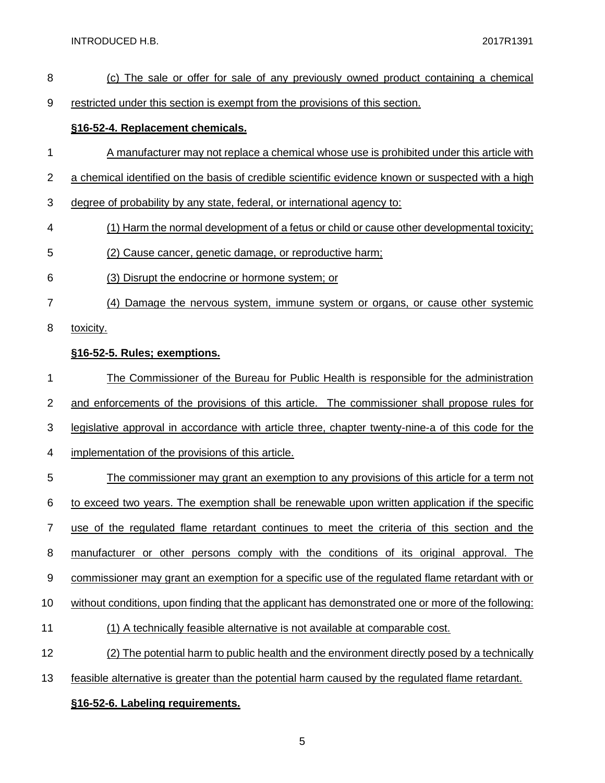- (c) The sale or offer for sale of any previously owned product containing a chemical
- restricted under this section is exempt from the provisions of this section.

#### **§16-52-4. Replacement chemicals.**

- A manufacturer may not replace a chemical whose use is prohibited under this article with
- 2 a chemical identified on the basis of credible scientific evidence known or suspected with a high
- degree of probability by any state, federal, or international agency to:
- (1) Harm the normal development of a fetus or child or cause other developmental toxicity;
- (2) Cause cancer, genetic damage, or reproductive harm;
- (3) Disrupt the endocrine or hormone system; or
- 7 (4) Damage the nervous system, immune system or organs, or cause other systemic
- toxicity.

### **§16-52-5. Rules; exemptions.**

The Commissioner of the Bureau for Public Health is responsible for the administration

and enforcements of the provisions of this article. The commissioner shall propose rules for

- legislative approval in accordance with article three, chapter twenty-nine-a of this code for the
- implementation of the provisions of this article.
- 5 The commissioner may grant an exemption to any provisions of this article for a term not to exceed two years. The exemption shall be renewable upon written application if the specific
- use of the regulated flame retardant continues to meet the criteria of this section and the
- 8 manufacturer or other persons comply with the conditions of its original approval. The
- commissioner may grant an exemption for a specific use of the regulated flame retardant with or
- 10 without conditions, upon finding that the applicant has demonstrated one or more of the following:
- (1) A technically feasible alternative is not available at comparable cost.
- (2) The potential harm to public health and the environment directly posed by a technically
- 13 feasible alternative is greater than the potential harm caused by the regulated flame retardant.

#### **§16-52-6. Labeling requirements.**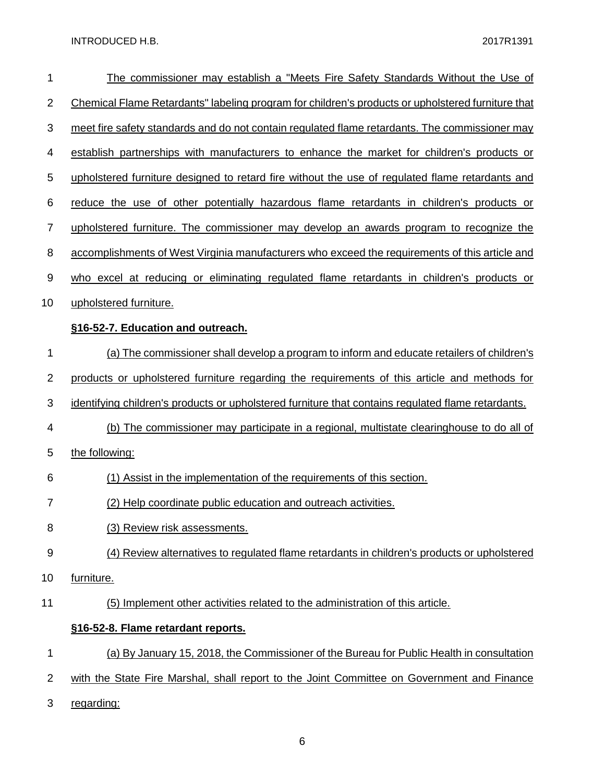| 1              | The commissioner may establish a "Meets Fire Safety Standards Without the Use of                   |
|----------------|----------------------------------------------------------------------------------------------------|
| $\overline{2}$ | Chemical Flame Retardants" labeling program for children's products or upholstered furniture that  |
| 3              | meet fire safety standards and do not contain regulated flame retardants. The commissioner may     |
| 4              | establish partnerships with manufacturers to enhance the market for children's products or         |
| 5              | upholstered furniture designed to retard fire without the use of requiated flame retardants and    |
| 6              | reduce the use of other potentially hazardous flame retardants in children's products or           |
| $\overline{7}$ | upholstered furniture. The commissioner may develop an awards program to recognize the             |
| 8              | accomplishments of West Virginia manufacturers who exceed the requirements of this article and     |
| 9              | who excel at reducing or eliminating regulated flame retardants in children's products or          |
| 10             | upholstered furniture.                                                                             |
|                | §16-52-7. Education and outreach.                                                                  |
| 1              | (a) The commissioner shall develop a program to inform and educate retailers of children's         |
| 2              | products or upholstered furniture regarding the requirements of this article and methods for       |
| 3              | identifying children's products or upholstered furniture that contains regulated flame retardants. |
| 4              | (b) The commissioner may participate in a regional, multistate clearinghouse to do all of          |
| 5              | the following:                                                                                     |
| 6              | (1) Assist in the implementation of the requirements of this section.                              |
| 7              | (2) Help coordinate public education and outreach activities.                                      |
| 8              | (3) Review risk assessments.                                                                       |
| 9              | (4) Review alternatives to regulated flame retardants in children's products or upholstered        |
| 10             | furniture.                                                                                         |
| 11             | (5) Implement other activities related to the administration of this article.                      |
|                | §16-52-8. Flame retardant reports.                                                                 |
| 1              | (a) By January 15, 2018, the Commissioner of the Bureau for Public Health in consultation          |
| 2              | with the State Fire Marshal, shall report to the Joint Committee on Government and Finance         |
| 3              | regarding:                                                                                         |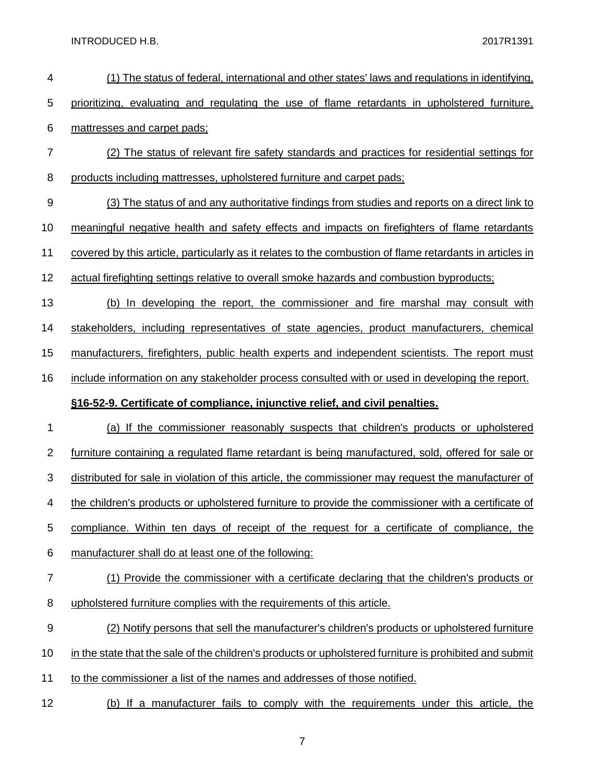| 4                | (1) The status of federal, international and other states' laws and regulations in identifying,          |
|------------------|----------------------------------------------------------------------------------------------------------|
| 5                | prioritizing, evaluating and regulating the use of flame retardants in upholstered furniture,            |
| 6                | mattresses and carpet pads;                                                                              |
| $\overline{7}$   | (2) The status of relevant fire safety standards and practices for residential settings for              |
| 8                | products including mattresses, upholstered furniture and carpet pads;                                    |
| 9                | (3) The status of and any authoritative findings from studies and reports on a direct link to            |
| 10               | meaningful negative health and safety effects and impacts on firefighters of flame retardants            |
| 11               | covered by this article, particularly as it relates to the combustion of flame retardants in articles in |
| 12               | actual firefighting settings relative to overall smoke hazards and combustion byproducts;                |
| 13               | (b) In developing the report, the commissioner and fire marshal may consult with                         |
| 14               | stakeholders, including representatives of state agencies, product manufacturers, chemical               |
| 15               | manufacturers, firefighters, public health experts and independent scientists. The report must           |
| 16               | include information on any stakeholder process consulted with or used in developing the report.          |
|                  |                                                                                                          |
|                  | §16-52-9. Certificate of compliance, injunctive relief, and civil penalties.                             |
| 1                | (a) If the commissioner reasonably suspects that children's products or upholstered                      |
| $\overline{2}$   | furniture containing a regulated flame retardant is being manufactured, sold, offered for sale or        |
| 3                | distributed for sale in violation of this article, the commissioner may request the manufacturer of      |
| 4                | the children's products or upholstered furniture to provide the commissioner with a certificate of       |
| 5                | compliance. Within ten days of receipt of the request for a certificate of compliance, the               |
| 6                | manufacturer shall do at least one of the following:                                                     |
| $\boldsymbol{7}$ | (1) Provide the commissioner with a certificate declaring that the children's products or                |
| 8                | upholstered furniture complies with the requirements of this article.                                    |
| 9                | (2) Notify persons that sell the manufacturer's children's products or upholstered furniture             |
| 10               | in the state that the sale of the children's products or upholstered furniture is prohibited and submit  |
| 11               | to the commissioner a list of the names and addresses of those notified.                                 |
| 12               | (b) If a manufacturer fails to comply with the requirements under this article, the                      |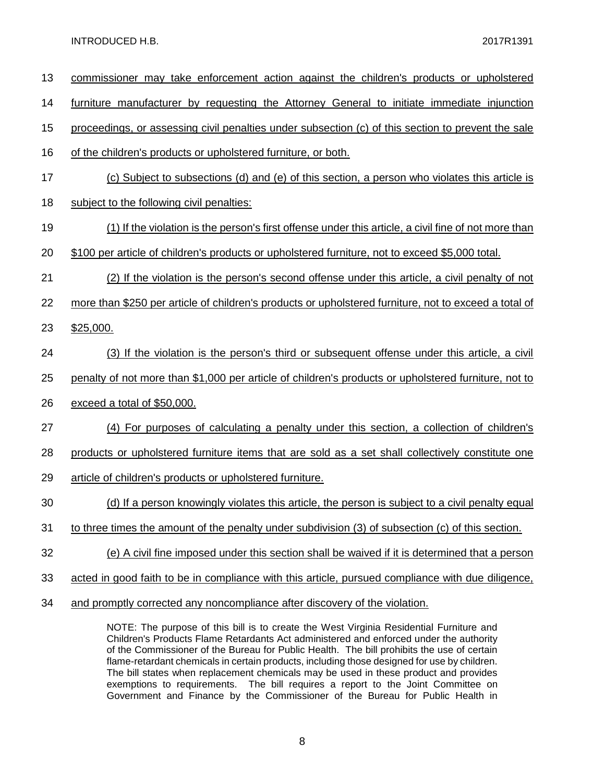| 13 | commissioner may take enforcement action against the children's products or upholstered               |
|----|-------------------------------------------------------------------------------------------------------|
| 14 | furniture manufacturer by requesting the Attorney General to initiate immediate injunction            |
| 15 | proceedings, or assessing civil penalties under subsection (c) of this section to prevent the sale    |
| 16 | of the children's products or upholstered furniture, or both.                                         |
| 17 | (c) Subject to subsections (d) and (e) of this section, a person who violates this article is         |
| 18 | subject to the following civil penalties:                                                             |
| 19 | (1) If the violation is the person's first offense under this article, a civil fine of not more than  |
| 20 | \$100 per article of children's products or upholstered furniture, not to exceed \$5,000 total.       |
| 21 | (2) If the violation is the person's second offense under this article, a civil penalty of not        |
| 22 | more than \$250 per article of children's products or upholstered furniture, not to exceed a total of |
| 23 | \$25,000.                                                                                             |
| 24 | (3) If the violation is the person's third or subsequent offense under this article, a civil          |
| 25 | penalty of not more than \$1,000 per article of children's products or upholstered furniture, not to  |
| 26 | exceed a total of \$50,000.                                                                           |
| 27 | (4) For purposes of calculating a penalty under this section, a collection of children's              |
| 28 | products or upholstered furniture items that are sold as a set shall collectively constitute one      |
| 29 | article of children's products or upholstered furniture.                                              |
| 30 | (d) If a person knowingly violates this article, the person is subject to a civil penalty equal       |
| 31 | to three times the amount of the penalty under subdivision (3) of subsection (c) of this section.     |
| 32 | (e) A civil fine imposed under this section shall be waived if it is determined that a person         |
| 33 | acted in good faith to be in compliance with this article, pursued compliance with due diligence,     |
| 34 | and promptly corrected any noncompliance after discovery of the violation.                            |

NOTE: The purpose of this bill is to create the West Virginia Residential Furniture and Children's Products Flame Retardants Act administered and enforced under the authority of the Commissioner of the Bureau for Public Health. The bill prohibits the use of certain flame-retardant chemicals in certain products, including those designed for use by children. The bill states when replacement chemicals may be used in these product and provides exemptions to requirements. The bill requires a report to the Joint Committee on Government and Finance by the Commissioner of the Bureau for Public Health in